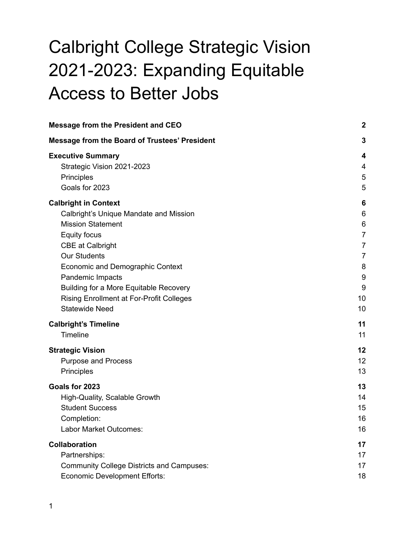# Calbright College Strategic Vision 2021-2023: Expanding Equitable Access to Better Jobs

| <b>Message from the President and CEO</b>            | $\boldsymbol{2}$ |
|------------------------------------------------------|------------------|
| <b>Message from the Board of Trustees' President</b> | 3                |
| <b>Executive Summary</b>                             | 4                |
| Strategic Vision 2021-2023                           | 4                |
| Principles                                           | 5                |
| Goals for 2023                                       | 5                |
| <b>Calbright in Context</b>                          | 6                |
| Calbright's Unique Mandate and Mission               | 6                |
| <b>Mission Statement</b>                             | 6                |
| Equity focus                                         | $\overline{7}$   |
| <b>CBE at Calbright</b>                              | 7                |
| <b>Our Students</b>                                  | $\overline{7}$   |
| Economic and Demographic Context                     | 8                |
| Pandemic Impacts                                     | 9                |
| <b>Building for a More Equitable Recovery</b>        | 9                |
| <b>Rising Enrollment at For-Profit Colleges</b>      | 10               |
| <b>Statewide Need</b>                                | 10               |
| <b>Calbright's Timeline</b>                          | 11               |
| <b>Timeline</b>                                      | 11               |
| <b>Strategic Vision</b>                              | 12               |
| <b>Purpose and Process</b>                           | 12               |
| Principles                                           | 13               |
| Goals for 2023                                       | 13               |
| High-Quality, Scalable Growth                        | 14               |
| <b>Student Success</b>                               | 15               |
| Completion:                                          | 16               |
| Labor Market Outcomes:                               | 16               |
| <b>Collaboration</b>                                 | 17               |
| Partnerships:                                        | 17               |
| <b>Community College Districts and Campuses:</b>     | 17               |
| <b>Economic Development Efforts:</b>                 | 18               |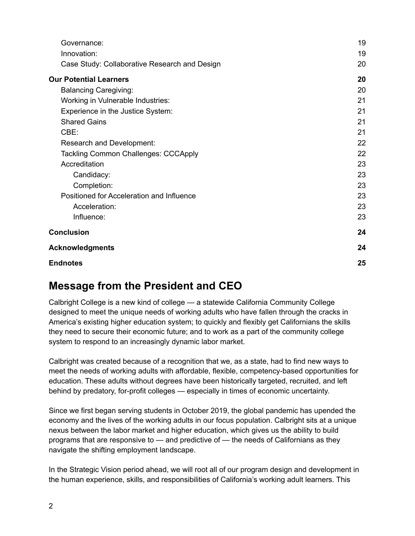| Governance:                                   | 19 |
|-----------------------------------------------|----|
| Innovation:                                   | 19 |
| Case Study: Collaborative Research and Design | 20 |
| <b>Our Potential Learners</b>                 | 20 |
| <b>Balancing Caregiving:</b>                  | 20 |
| Working in Vulnerable Industries:             | 21 |
| Experience in the Justice System:             | 21 |
| <b>Shared Gains</b>                           | 21 |
| CBE:                                          | 21 |
| Research and Development:                     | 22 |
| <b>Tackling Common Challenges: CCCApply</b>   | 22 |
| Accreditation                                 | 23 |
| Candidacy:                                    | 23 |
| Completion:                                   | 23 |
| Positioned for Acceleration and Influence     | 23 |
| Acceleration:                                 | 23 |
| Influence:                                    | 23 |
| <b>Conclusion</b>                             | 24 |
| <b>Acknowledgments</b>                        | 24 |
| <b>Endnotes</b>                               | 25 |

# <span id="page-1-0"></span>**Message from the President and CEO**

Calbright College is a new kind of college — a statewide California Community College designed to meet the unique needs of working adults who have fallen through the cracks in America's existing higher education system; to quickly and flexibly get Californians the skills they need to secure their economic future; and to work as a part of the community college system to respond to an increasingly dynamic labor market.

Calbright was created because of a recognition that we, as a state, had to find new ways to meet the needs of working adults with affordable, flexible, competency-based opportunities for education. These adults without degrees have been historically targeted, recruited, and left behind by predatory, for-profit colleges — especially in times of economic uncertainty.

Since we first began serving students in October 2019, the global pandemic has upended the economy and the lives of the working adults in our focus population. Calbright sits at a unique nexus between the labor market and higher education, which gives us the ability to build programs that are responsive to — and predictive of — the needs of Californians as they navigate the shifting employment landscape.

In the Strategic Vision period ahead, we will root all of our program design and development in the human experience, skills, and responsibilities of California's working adult learners. This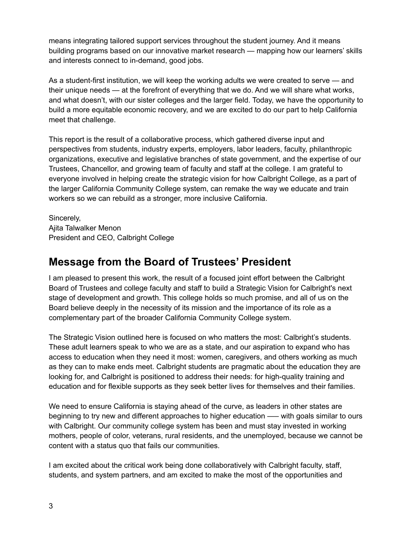means integrating tailored support services throughout the student journey. And it means building programs based on our innovative market research — mapping how our learners' skills and interests connect to in-demand, good jobs.

As a student-first institution, we will keep the working adults we were created to serve — and their unique needs — at the forefront of everything that we do. And we will share what works, and what doesn't, with our sister colleges and the larger field. Today, we have the opportunity to build a more equitable economic recovery, and we are excited to do our part to help California meet that challenge.

This report is the result of a collaborative process, which gathered diverse input and perspectives from students, industry experts, employers, labor leaders, faculty, philanthropic organizations, executive and legislative branches of state government, and the expertise of our Trustees, Chancellor, and growing team of faculty and staff at the college. I am grateful to everyone involved in helping create the strategic vision for how Calbright College, as a part of the larger California Community College system, can remake the way we educate and train workers so we can rebuild as a stronger, more inclusive California.

Sincerely, Ajita Talwalker Menon President and CEO, Calbright College

# <span id="page-2-0"></span>**Message from the Board of Trustees' President**

I am pleased to present this work, the result of a focused joint effort between the Calbright Board of Trustees and college faculty and staff to build a Strategic Vision for Calbright's next stage of development and growth. This college holds so much promise, and all of us on the Board believe deeply in the necessity of its mission and the importance of its role as a complementary part of the broader California Community College system.

The Strategic Vision outlined here is focused on who matters the most: Calbright's students. These adult learners speak to who we are as a state, and our aspiration to expand who has access to education when they need it most: women, caregivers, and others working as much as they can to make ends meet. Calbright students are pragmatic about the education they are looking for, and Calbright is positioned to address their needs: for high-quality training and education and for flexible supports as they seek better lives for themselves and their families.

We need to ensure California is staying ahead of the curve, as leaders in other states are beginning to try new and different approaches to higher education —– with goals similar to ours with Calbright. Our community college system has been and must stay invested in working mothers, people of color, veterans, rural residents, and the unemployed, because we cannot be content with a status quo that fails our communities.

I am excited about the critical work being done collaboratively with Calbright faculty, staff, students, and system partners, and am excited to make the most of the opportunities and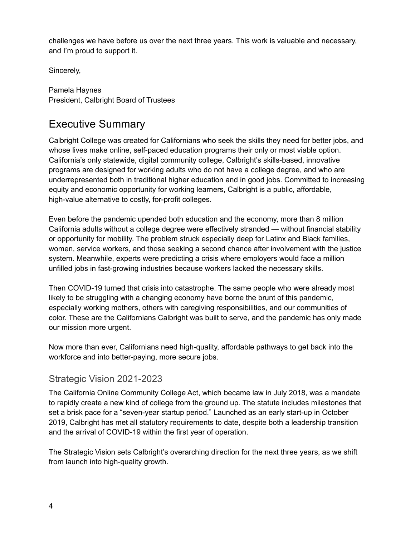challenges we have before us over the next three years. This work is valuable and necessary, and I'm proud to support it.

Sincerely,

Pamela Haynes President, Calbright Board of Trustees

# <span id="page-3-0"></span>Executive Summary

Calbright College was created for Californians who seek the skills they need for better jobs, and whose lives make online, self-paced education programs their only or most viable option. California's only statewide, digital community college, Calbright's skills-based, innovative programs are designed for working adults who do not have a college degree, and who are underrepresented both in traditional higher education and in good jobs. Committed to increasing equity and economic opportunity for working learners, Calbright is a public, affordable, high-value alternative to costly, for-profit colleges.

Even before the pandemic upended both education and the economy, more than 8 million California adults without a college degree were effectively stranded — without financial stability or opportunity for mobility. The problem struck especially deep for Latinx and Black families, women, service workers, and those seeking a second chance after involvement with the justice system. Meanwhile, experts were predicting a crisis where employers would face a million unfilled jobs in fast-growing industries because workers lacked the necessary skills.

Then COVID-19 turned that crisis into catastrophe. The same people who were already most likely to be struggling with a changing economy have borne the brunt of this pandemic, especially working mothers, others with caregiving responsibilities, and our communities of color. These are the Californians Calbright was built to serve, and the pandemic has only made our mission more urgent.

Now more than ever, Californians need high-quality, affordable pathways to get back into the workforce and into better-paying, more secure jobs.

### <span id="page-3-1"></span>Strategic Vision 2021-2023

The California Online Community College Act, which became law in July 2018, was a mandate to rapidly create a new kind of college from the ground up. The statute includes milestones that set a brisk pace for a "seven-year startup period." Launched as an early start-up in October 2019, Calbright has met all statutory requirements to date, despite both a leadership transition and the arrival of COVID-19 within the first year of operation.

The Strategic Vision sets Calbright's overarching direction for the next three years, as we shift from launch into high-quality growth.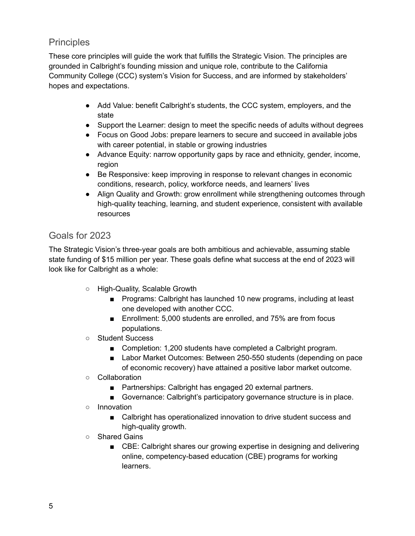## <span id="page-4-0"></span>**Principles**

These core principles will guide the work that fulfills the Strategic Vision. The principles are grounded in Calbright's founding mission and unique role, contribute to the California Community College (CCC) system's Vision for Success, and are informed by stakeholders' hopes and expectations.

- Add Value: benefit Calbright's students, the CCC system, employers, and the state
- Support the Learner: design to meet the specific needs of adults without degrees
- Focus on Good Jobs: prepare learners to secure and succeed in available jobs with career potential, in stable or growing industries
- Advance Equity: narrow opportunity gaps by race and ethnicity, gender, income, region
- Be Responsive: keep improving in response to relevant changes in economic conditions, research, policy, workforce needs, and learners' lives
- Align Quality and Growth: grow enrollment while strengthening outcomes through high-quality teaching, learning, and student experience, consistent with available resources

## <span id="page-4-1"></span>Goals for 2023

The Strategic Vision's three-year goals are both ambitious and achievable, assuming stable state funding of \$15 million per year. These goals define what success at the end of 2023 will look like for Calbright as a whole:

- High-Quality, Scalable Growth
	- Programs: Calbright has launched 10 new programs, including at least one developed with another CCC.
	- Enrollment: 5,000 students are enrolled, and 75% are from focus populations.
- Student Success
	- Completion: 1,200 students have completed a Calbright program.
	- Labor Market Outcomes: Between 250-550 students (depending on pace of economic recovery) have attained a positive labor market outcome.
- Collaboration
	- Partnerships: Calbright has engaged 20 external partners.
	- Governance: Calbright's participatory governance structure is in place.
- Innovation
	- Calbright has operationalized innovation to drive student success and high-quality growth.
- Shared Gains
	- CBE: Calbright shares our growing expertise in designing and delivering online, competency-based education (CBE) programs for working learners.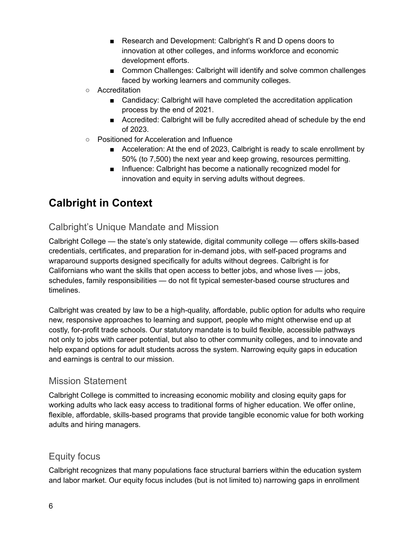- Research and Development: Calbright's R and D opens doors to innovation at other colleges, and informs workforce and economic development efforts.
- Common Challenges: Calbright will identify and solve common challenges faced by working learners and community colleges.
- Accreditation
	- Candidacy: Calbright will have completed the accreditation application process by the end of 2021.
	- Accredited: Calbright will be fully accredited ahead of schedule by the end of 2023.
- Positioned for Acceleration and Influence
	- Acceleration: At the end of 2023, Calbright is ready to scale enrollment by 50% (to 7,500) the next year and keep growing, resources permitting.
	- Influence: Calbright has become a nationally recognized model for innovation and equity in serving adults without degrees.

# <span id="page-5-0"></span>**Calbright in Context**

# <span id="page-5-1"></span>Calbright's Unique Mandate and Mission

Calbright College — the state's only statewide, digital community college — offers skills-based credentials, certificates, and preparation for in-demand jobs, with self-paced programs and wraparound supports designed specifically for adults without degrees. Calbright is for Californians who want the skills that open access to better jobs, and whose lives — jobs, schedules, family responsibilities — do not fit typical semester-based course structures and timelines.

Calbright was created by law to be a high-quality, affordable, public option for adults who require new, responsive approaches to learning and support, people who might otherwise end up at costly, for-profit trade schools. Our statutory mandate is to build flexible, accessible pathways not only to jobs with career potential, but also to other community colleges, and to innovate and help expand options for adult students across the system. Narrowing equity gaps in education and earnings is central to our mission.

#### <span id="page-5-2"></span>Mission Statement

Calbright College is committed to increasing economic mobility and closing equity gaps for working adults who lack easy access to traditional forms of higher education. We offer online, flexible, affordable, skills-based programs that provide tangible economic value for both working adults and hiring managers.

### <span id="page-5-3"></span>Equity focus

Calbright recognizes that many populations face structural barriers within the education system and labor market. Our equity focus includes (but is not limited to) narrowing gaps in enrollment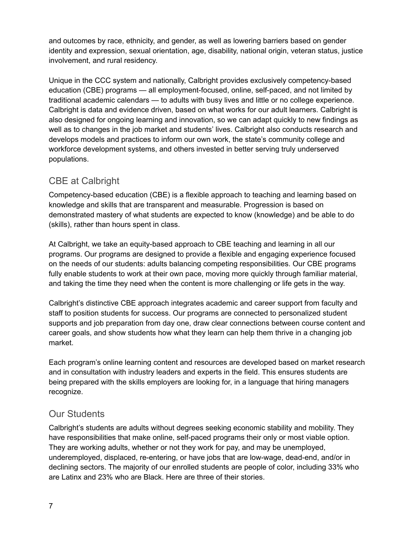and outcomes by race, ethnicity, and gender, as well as lowering barriers based on gender identity and expression, sexual orientation, age, disability, national origin, veteran status, justice involvement, and rural residency.

Unique in the CCC system and nationally, Calbright provides exclusively competency-based education (CBE) programs — all employment-focused, online, self-paced, and not limited by traditional academic calendars — to adults with busy lives and little or no college experience. Calbright is data and evidence driven, based on what works for our adult learners. Calbright is also designed for ongoing learning and innovation, so we can adapt quickly to new findings as well as to changes in the job market and students' lives. Calbright also conducts research and develops models and practices to inform our own work, the state's community college and workforce development systems, and others invested in better serving truly underserved populations.

## <span id="page-6-0"></span>CBE at Calbright

Competency-based education (CBE) is a flexible approach to teaching and learning based on knowledge and skills that are transparent and measurable. Progression is based on demonstrated mastery of what students are expected to know (knowledge) and be able to do (skills), rather than hours spent in class.

At Calbright, we take an equity-based approach to CBE teaching and learning in all our programs. Our programs are designed to provide a flexible and engaging experience focused on the needs of our students: adults balancing competing responsibilities. Our CBE programs fully enable students to work at their own pace, moving more quickly through familiar material, and taking the time they need when the content is more challenging or life gets in the way.

Calbright's distinctive CBE approach integrates academic and career support from faculty and staff to position students for success. Our programs are connected to personalized student supports and job preparation from day one, draw clear connections between course content and career goals, and show students how what they learn can help them thrive in a changing job market.

Each program's online learning content and resources are developed based on market research and in consultation with industry leaders and experts in the field. This ensures students are being prepared with the skills employers are looking for, in a language that hiring managers recognize.

### <span id="page-6-1"></span>Our Students

Calbright's students are adults without degrees seeking economic stability and mobility. They have responsibilities that make online, self-paced programs their only or most viable option. They are working adults, whether or not they work for pay, and may be unemployed, underemployed, displaced, re-entering, or have jobs that are low-wage, dead-end, and/or in declining sectors. The majority of our enrolled students are people of color, including 33% who are Latinx and 23% who are Black. Here are three of their stories.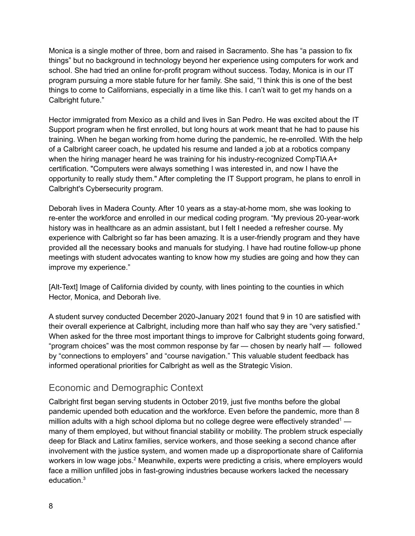Monica is a single mother of three, born and raised in Sacramento. She has "a passion to fix things" but no background in technology beyond her experience using computers for work and school. She had tried an online for-profit program without success. Today, Monica is in our IT program pursuing a more stable future for her family. She said, "I think this is one of the best things to come to Californians, especially in a time like this. I can't wait to get my hands on a Calbright future."

Hector immigrated from Mexico as a child and lives in San Pedro. He was excited about the IT Support program when he first enrolled, but long hours at work meant that he had to pause his training. When he began working from home during the pandemic, he re-enrolled. With the help of a Calbright career coach, he updated his resume and landed a job at a robotics company when the hiring manager heard he was training for his industry-recognized CompTIA A+ certification. "Computers were always something I was interested in, and now I have the opportunity to really study them." After completing the IT Support program, he plans to enroll in Calbright's Cybersecurity program.

Deborah lives in Madera County. After 10 years as a stay-at-home mom, she was looking to re-enter the workforce and enrolled in our medical coding program. "My previous 20-year-work history was in healthcare as an admin assistant, but I felt I needed a refresher course. My experience with Calbright so far has been amazing. It is a user-friendly program and they have provided all the necessary books and manuals for studying. I have had routine follow-up phone meetings with student advocates wanting to know how my studies are going and how they can improve my experience."

[Alt-Text] Image of California divided by county, with lines pointing to the counties in which Hector, Monica, and Deborah live.

A student survey conducted December 2020-January 2021 found that 9 in 10 are satisfied with their overall experience at Calbright, including more than half who say they are "very satisfied." When asked for the three most important things to improve for Calbright students going forward, "program choices" was the most common response by far — chosen by nearly half — followed by "connections to employers" and "course navigation." This valuable student feedback has informed operational priorities for Calbright as well as the Strategic Vision.

### <span id="page-7-0"></span>Economic and Demographic Context

Calbright first began serving students in October 2019, just five months before the global pandemic upended both education and the workforce. Even before the pandemic, more than 8 million adults with a high school diploma but no college degree were effectively stranded<sup>1</sup> many of them employed, but without financial stability or mobility. The problem struck especially deep for Black and Latinx families, service workers, and those seeking a second chance after involvement with the justice system, and women made up a disproportionate share of California workers in low wage jobs.<sup>2</sup> Meanwhile, experts were predicting a crisis, where employers would face a million unfilled jobs in fast-growing industries because workers lacked the necessary education. 3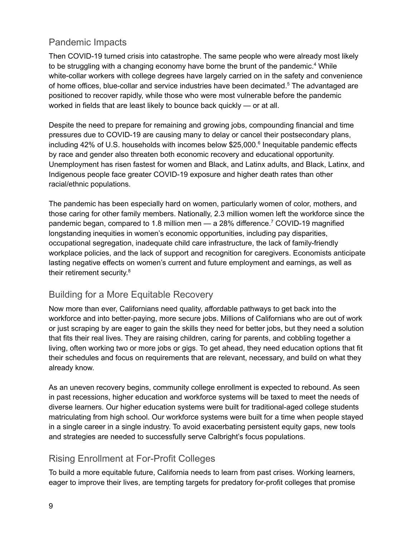## <span id="page-8-0"></span>Pandemic Impacts

Then COVID-19 turned crisis into catastrophe. The same people who were already most likely to be struggling with a changing economy have borne the brunt of the pandemic.<sup>4</sup> While white-collar workers with college degrees have largely carried on in the safety and convenience of home offices, blue-collar and service industries have been decimated.<sup>5</sup> The advantaged are positioned to recover rapidly, while those who were most vulnerable before the pandemic worked in fields that are least likely to bounce back quickly — or at all.

Despite the need to prepare for remaining and growing jobs, compounding financial and time pressures due to COVID-19 are causing many to delay or cancel their postsecondary plans, including 42% of U.S. households with incomes below \$25,000. 6 Inequitable pandemic effects by race and gender also threaten both economic recovery and educational opportunity. Unemployment has risen fastest for women and Black, and Latinx adults, and Black, Latinx, and Indigenous people face greater COVID-19 exposure and higher death rates than other racial/ethnic populations.

The pandemic has been especially hard on women, particularly women of color, mothers, and those caring for other family members. Nationally, 2.3 million women left the workforce since the pandemic began, compared to 1.8 million men — a 28% difference. <sup>7</sup> COVID-19 magnified longstanding inequities in women's economic opportunities, including pay disparities, occupational segregation, inadequate child care infrastructure, the lack of family-friendly workplace policies, and the lack of support and recognition for caregivers. Economists anticipate lasting negative effects on women's current and future employment and earnings, as well as their retirement security.<sup>8</sup>

### <span id="page-8-1"></span>Building for a More Equitable Recovery

Now more than ever, Californians need quality, affordable pathways to get back into the workforce and into better-paying, more secure jobs. Millions of Californians who are out of work or just scraping by are eager to gain the skills they need for better jobs, but they need a solution that fits their real lives. They are raising children, caring for parents, and cobbling together a living, often working two or more jobs or gigs. To get ahead, they need education options that fit their schedules and focus on requirements that are relevant, necessary, and build on what they already know.

As an uneven recovery begins, community college enrollment is expected to rebound. As seen in past recessions, higher education and workforce systems will be taxed to meet the needs of diverse learners. Our higher education systems were built for traditional-aged college students matriculating from high school. Our workforce systems were built for a time when people stayed in a single career in a single industry. To avoid exacerbating persistent equity gaps, new tools and strategies are needed to successfully serve Calbright's focus populations.

# <span id="page-8-2"></span>Rising Enrollment at For-Profit Colleges

To build a more equitable future, California needs to learn from past crises. Working learners, eager to improve their lives, are tempting targets for predatory for-profit colleges that promise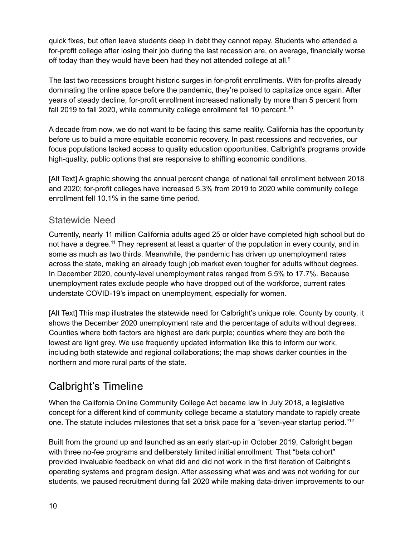quick fixes, but often leave students deep in debt they cannot repay. Students who attended a for-profit college after losing their job during the last recession are, on average, financially worse off today than they would have been had they not attended college at all.<sup>9</sup>

The last two recessions brought historic surges in for-profit enrollments. With for-profits already dominating the online space before the pandemic, they're poised to capitalize once again. After years of steady decline, for-profit enrollment increased nationally by more than 5 percent from fall 2019 to fall 2020, while community college enrollment fell 10 percent.<sup>10</sup>

A decade from now, we do not want to be facing this same reality. California has the opportunity before us to build a more equitable economic recovery. In past recessions and recoveries, our focus populations lacked access to quality education opportunities. Calbright's programs provide high-quality, public options that are responsive to shifting economic conditions.

[Alt Text] A graphic showing the annual percent change of national fall enrollment between 2018 and 2020; for-profit colleges have increased 5.3% from 2019 to 2020 while community college enrollment fell 10.1% in the same time period.

### <span id="page-9-0"></span>Statewide Need

Currently, nearly 11 million California adults aged 25 or older have completed high school but do not have a degree.<sup>11</sup> They represent at least a quarter of the population in every county, and in some as much as two thirds. Meanwhile, the pandemic has driven up unemployment rates across the state, making an already tough job market even tougher for adults without degrees. In December 2020, county-level unemployment rates ranged from 5.5% to 17.7%. Because unemployment rates exclude people who have dropped out of the workforce, current rates understate COVID-19's impact on unemployment, especially for women.

[Alt Text] This map illustrates the statewide need for Calbright's unique role. County by county, it shows the December 2020 unemployment rate and the percentage of adults without degrees. Counties where both factors are highest are dark purple; counties where they are both the lowest are light grey. We use frequently updated information like this to inform our work, including both statewide and regional collaborations; the map shows darker counties in the northern and more rural parts of the state.

# <span id="page-9-1"></span>Calbright's Timeline

When the California Online Community College Act became law in July 2018, a legislative concept for a different kind of community college became a statutory mandate to rapidly create one. The statute includes milestones that set a brisk pace for a "seven-year startup period."<sup>12</sup>

Built from the ground up and launched as an early start-up in October 2019, Calbright began with three no-fee programs and deliberately limited initial enrollment. That "beta cohort" provided invaluable feedback on what did and did not work in the first iteration of Calbright's operating systems and program design. After assessing what was and was not working for our students, we paused recruitment during fall 2020 while making data-driven improvements to our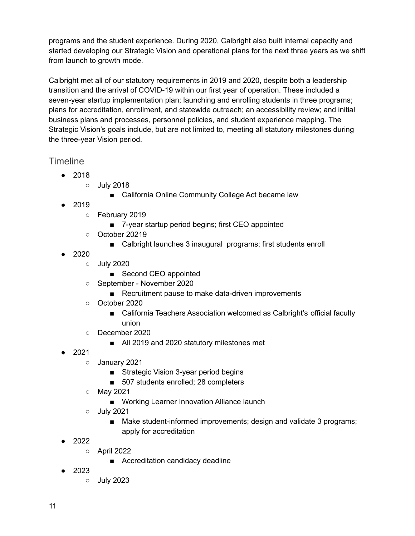programs and the student experience. During 2020, Calbright also built internal capacity and started developing our Strategic Vision and operational plans for the next three years as we shift from launch to growth mode.

Calbright met all of our statutory requirements in 2019 and 2020, despite both a leadership transition and the arrival of COVID-19 within our first year of operation. These included a seven-year startup implementation plan; launching and enrolling students in three programs; plans for accreditation, enrollment, and statewide outreach; an accessibility review; and initial business plans and processes, personnel policies, and student experience mapping. The Strategic Vision's goals include, but are not limited to, meeting all statutory milestones during the three-year Vision period.

### <span id="page-10-0"></span>**Timeline**

- 2018
	- July 2018
		- California Online Community College Act became law
- 2019
	- February 2019
		- 7-year startup period begins; first CEO appointed
	- October 20219
		- Calbright launches 3 inaugural programs; first students enroll
- 2020
	- July 2020
		- Second CEO appointed
	- September November 2020
		- Recruitment pause to make data-driven improvements
	- October 2020
		- California Teachers Association welcomed as Calbright's official faculty union
	- December 2020
		- All 2019 and 2020 statutory milestones met
- 2021
	- January 2021
		- Strategic Vision 3-year period begins
		- 507 students enrolled; 28 completers
	- May 2021
		- Working Learner Innovation Alliance launch
	- July 2021
		- Make student-informed improvements; design and validate 3 programs; apply for accreditation
- 2022
	- April 2022
		- Accreditation candidacy deadline
- 2023
	- July 2023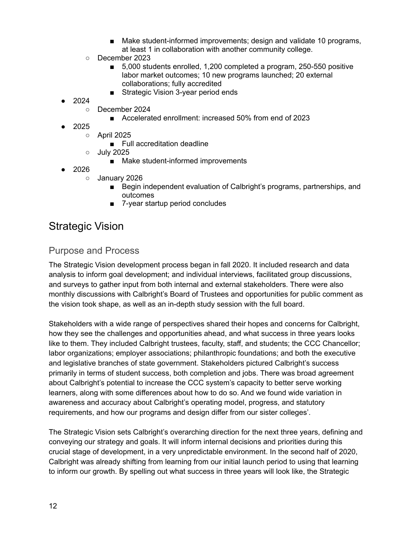- Make student-informed improvements; design and validate 10 programs, at least 1 in collaboration with another community college.
- December 2023
	- 5,000 students enrolled, 1,200 completed a program, 250-550 positive labor market outcomes; 10 new programs launched; 20 external collaborations; fully accredited
	- Strategic Vision 3-year period ends
- 2024
	- December 2024
		- Accelerated enrollment: increased 50% from end of 2023
- 2025
	- April 2025
		- Full accreditation deadline
	- July 2025
		- Make student-informed improvements
- 2026
	- January 2026
		- Begin independent evaluation of Calbright's programs, partnerships, and outcomes
		- 7-year startup period concludes

# <span id="page-11-0"></span>Strategic Vision

#### <span id="page-11-1"></span>Purpose and Process

The Strategic Vision development process began in fall 2020. It included research and data analysis to inform goal development; and individual interviews, facilitated group discussions, and surveys to gather input from both internal and external stakeholders. There were also monthly discussions with Calbright's Board of Trustees and opportunities for public comment as the vision took shape, as well as an in-depth study session with the full board.

Stakeholders with a wide range of perspectives shared their hopes and concerns for Calbright, how they see the challenges and opportunities ahead, and what success in three years looks like to them. They included Calbright trustees, faculty, staff, and students; the CCC Chancellor; labor organizations; employer associations; philanthropic foundations; and both the executive and legislative branches of state government. Stakeholders pictured Calbright's success primarily in terms of student success, both completion and jobs. There was broad agreement about Calbright's potential to increase the CCC system's capacity to better serve working learners, along with some differences about how to do so. And we found wide variation in awareness and accuracy about Calbright's operating model, progress, and statutory requirements, and how our programs and design differ from our sister colleges'.

The Strategic Vision sets Calbright's overarching direction for the next three years, defining and conveying our strategy and goals. It will inform internal decisions and priorities during this crucial stage of development, in a very unpredictable environment. In the second half of 2020, Calbright was already shifting from learning from our initial launch period to using that learning to inform our growth. By spelling out what success in three years will look like, the Strategic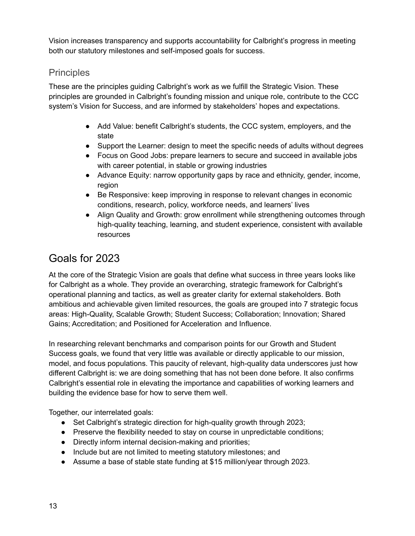Vision increases transparency and supports accountability for Calbright's progress in meeting both our statutory milestones and self-imposed goals for success.

### <span id="page-12-0"></span>**Principles**

These are the principles guiding Calbright's work as we fulfill the Strategic Vision. These principles are grounded in Calbright's founding mission and unique role, contribute to the CCC system's Vision for Success, and are informed by stakeholders' hopes and expectations.

- Add Value: benefit Calbright's students, the CCC system, employers, and the state
- Support the Learner: design to meet the specific needs of adults without degrees
- Focus on Good Jobs: prepare learners to secure and succeed in available jobs with career potential, in stable or growing industries
- Advance Equity: narrow opportunity gaps by race and ethnicity, gender, income, region
- Be Responsive: keep improving in response to relevant changes in economic conditions, research, policy, workforce needs, and learners' lives
- Align Quality and Growth: grow enrollment while strengthening outcomes through high-quality teaching, learning, and student experience, consistent with available resources

# <span id="page-12-1"></span>Goals for 2023

At the core of the Strategic Vision are goals that define what success in three years looks like for Calbright as a whole. They provide an overarching, strategic framework for Calbright's operational planning and tactics, as well as greater clarity for external stakeholders. Both ambitious and achievable given limited resources, the goals are grouped into 7 strategic focus areas: High-Quality, Scalable Growth; Student Success; Collaboration; Innovation; Shared Gains; Accreditation; and Positioned for Acceleration and Influence.

In researching relevant benchmarks and comparison points for our Growth and Student Success goals, we found that very little was available or directly applicable to our mission, model, and focus populations. This paucity of relevant, high-quality data underscores just how different Calbright is: we are doing something that has not been done before. It also confirms Calbright's essential role in elevating the importance and capabilities of working learners and building the evidence base for how to serve them well.

Together, our interrelated goals:

- Set Calbright's strategic direction for high-quality growth through 2023;
- Preserve the flexibility needed to stay on course in unpredictable conditions;
- Directly inform internal decision-making and priorities;
- Include but are not limited to meeting statutory milestones; and
- Assume a base of stable state funding at \$15 million/year through 2023.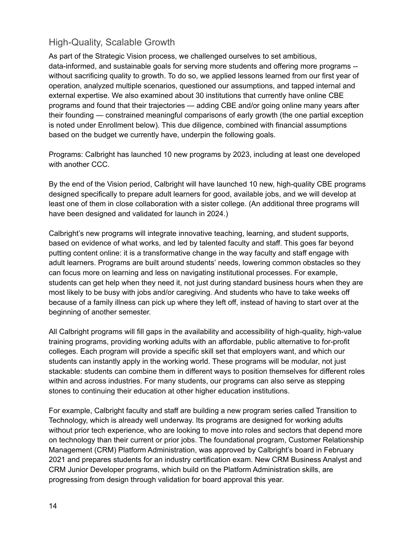## <span id="page-13-0"></span>High-Quality, Scalable Growth

As part of the Strategic Vision process, we challenged ourselves to set ambitious, data-informed, and sustainable goals for serving more students and offering more programs - without sacrificing quality to growth. To do so, we applied lessons learned from our first year of operation, analyzed multiple scenarios, questioned our assumptions, and tapped internal and external expertise. We also examined about 30 institutions that currently have online CBE programs and found that their trajectories — adding CBE and/or going online many years after their founding — constrained meaningful comparisons of early growth (the one partial exception is noted under Enrollment below). This due diligence, combined with financial assumptions based on the budget we currently have, underpin the following goals.

Programs: Calbright has launched 10 new programs by 2023, including at least one developed with another CCC.

By the end of the Vision period, Calbright will have launched 10 new, high-quality CBE programs designed specifically to prepare adult learners for good, available jobs, and we will develop at least one of them in close collaboration with a sister college. (An additional three programs will have been designed and validated for launch in 2024.)

Calbright's new programs will integrate innovative teaching, learning, and student supports, based on evidence of what works, and led by talented faculty and staff. This goes far beyond putting content online: it is a transformative change in the way faculty and staff engage with adult learners. Programs are built around students' needs, lowering common obstacles so they can focus more on learning and less on navigating institutional processes. For example, students can get help when they need it, not just during standard business hours when they are most likely to be busy with jobs and/or caregiving. And students who have to take weeks off because of a family illness can pick up where they left off, instead of having to start over at the beginning of another semester.

All Calbright programs will fill gaps in the availability and accessibility of high-quality, high-value training programs, providing working adults with an affordable, public alternative to for-profit colleges. Each program will provide a specific skill set that employers want, and which our students can instantly apply in the working world. These programs will be modular, not just stackable: students can combine them in different ways to position themselves for different roles within and across industries. For many students, our programs can also serve as stepping stones to continuing their education at other higher education institutions.

For example, Calbright faculty and staff are building a new program series called Transition to Technology, which is already well underway. Its programs are designed for working adults without prior tech experience, who are looking to move into roles and sectors that depend more on technology than their current or prior jobs. The foundational program, Customer Relationship Management (CRM) Platform Administration, was approved by Calbright's board in February 2021 and prepares students for an industry certification exam. New CRM Business Analyst and CRM Junior Developer programs, which build on the Platform Administration skills, are progressing from design through validation for board approval this year.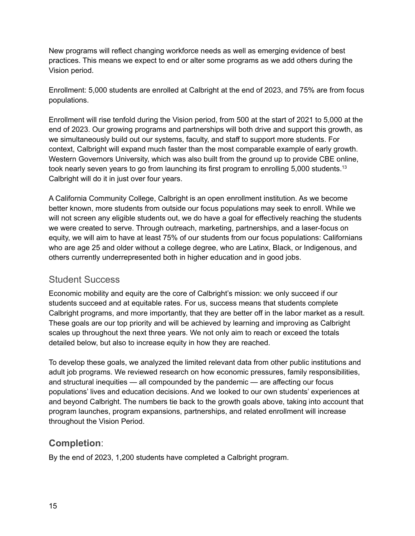New programs will reflect changing workforce needs as well as emerging evidence of best practices. This means we expect to end or alter some programs as we add others during the Vision period.

Enrollment: 5,000 students are enrolled at Calbright at the end of 2023, and 75% are from focus populations.

Enrollment will rise tenfold during the Vision period, from 500 at the start of 2021 to 5,000 at the end of 2023. Our growing programs and partnerships will both drive and support this growth, as we simultaneously build out our systems, faculty, and staff to support more students. For context, Calbright will expand much faster than the most comparable example of early growth. Western Governors University, which was also built from the ground up to provide CBE online, took nearly seven years to go from launching its first program to enrolling 5,000 students.<sup>13</sup> Calbright will do it in just over four years.

A California Community College, Calbright is an open enrollment institution. As we become better known, more students from outside our focus populations may seek to enroll. While we will not screen any eligible students out, we do have a goal for effectively reaching the students we were created to serve. Through outreach, marketing, partnerships, and a laser-focus on equity, we will aim to have at least 75% of our students from our focus populations: Californians who are age 25 and older without a college degree, who are Latinx, Black, or Indigenous, and others currently underrepresented both in higher education and in good jobs.

#### <span id="page-14-0"></span>Student Success

Economic mobility and equity are the core of Calbright's mission: we only succeed if our students succeed and at equitable rates. For us, success means that students complete Calbright programs, and more importantly, that they are better off in the labor market as a result. These goals are our top priority and will be achieved by learning and improving as Calbright scales up throughout the next three years. We not only aim to reach or exceed the totals detailed below, but also to increase equity in how they are reached.

To develop these goals, we analyzed the limited relevant data from other public institutions and adult job programs. We reviewed research on how economic pressures, family responsibilities, and structural inequities — all compounded by the pandemic — are affecting our focus populations' lives and education decisions. And we looked to our own students' experiences at and beyond Calbright. The numbers tie back to the growth goals above, taking into account that program launches, program expansions, partnerships, and related enrollment will increase throughout the Vision Period.

# <span id="page-14-1"></span>**Completion**:

By the end of 2023, 1,200 students have completed a Calbright program.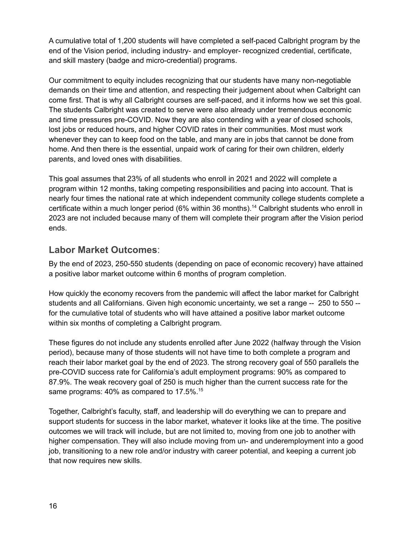A cumulative total of 1,200 students will have completed a self-paced Calbright program by the end of the Vision period, including industry- and employer- recognized credential, certificate, and skill mastery (badge and micro-credential) programs.

Our commitment to equity includes recognizing that our students have many non-negotiable demands on their time and attention, and respecting their judgement about when Calbright can come first. That is why all Calbright courses are self-paced, and it informs how we set this goal. The students Calbright was created to serve were also already under tremendous economic and time pressures pre-COVID. Now they are also contending with a year of closed schools, lost jobs or reduced hours, and higher COVID rates in their communities. Most must work whenever they can to keep food on the table, and many are in jobs that cannot be done from home. And then there is the essential, unpaid work of caring for their own children, elderly parents, and loved ones with disabilities.

This goal assumes that 23% of all students who enroll in 2021 and 2022 will complete a program within 12 months, taking competing responsibilities and pacing into account. That is nearly four times the national rate at which independent community college students complete a certificate within a much longer period (6% within 36 months). <sup>14</sup> Calbright students who enroll in 2023 are not included because many of them will complete their program after the Vision period ends.

### <span id="page-15-0"></span>**Labor Market Outcomes**:

By the end of 2023, 250-550 students (depending on pace of economic recovery) have attained a positive labor market outcome within 6 months of program completion.

How quickly the economy recovers from the pandemic will affect the labor market for Calbright students and all Californians. Given high economic uncertainty, we set a range -- 250 to 550 - for the cumulative total of students who will have attained a positive labor market outcome within six months of completing a Calbright program.

These figures do not include any students enrolled after June 2022 (halfway through the Vision period), because many of those students will not have time to both complete a program and reach their labor market goal by the end of 2023. The strong recovery goal of 550 parallels the pre-COVID success rate for California's adult employment programs: 90% as compared to 87.9%. The weak recovery goal of 250 is much higher than the current success rate for the same programs: 40% as compared to 17.5%.<sup>15</sup>

Together, Calbright's faculty, staff, and leadership will do everything we can to prepare and support students for success in the labor market, whatever it looks like at the time. The positive outcomes we will track will include, but are not limited to, moving from one job to another with higher compensation. They will also include moving from un- and underemployment into a good job, transitioning to a new role and/or industry with career potential, and keeping a current job that now requires new skills.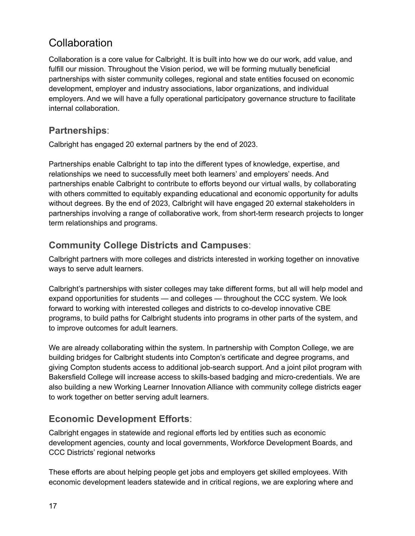# <span id="page-16-0"></span>**Collaboration**

Collaboration is a core value for Calbright. It is built into how we do our work, add value, and fulfill our mission. Throughout the Vision period, we will be forming mutually beneficial partnerships with sister community colleges, regional and state entities focused on economic development, employer and industry associations, labor organizations, and individual employers. And we will have a fully operational participatory governance structure to facilitate internal collaboration.

## <span id="page-16-1"></span>**Partnerships**:

Calbright has engaged 20 external partners by the end of 2023.

Partnerships enable Calbright to tap into the different types of knowledge, expertise, and relationships we need to successfully meet both learners' and employers' needs. And partnerships enable Calbright to contribute to efforts beyond our virtual walls, by collaborating with others committed to equitably expanding educational and economic opportunity for adults without degrees. By the end of 2023, Calbright will have engaged 20 external stakeholders in partnerships involving a range of collaborative work, from short-term research projects to longer term relationships and programs.

## <span id="page-16-2"></span>**Community College Districts and Campuses**:

Calbright partners with more colleges and districts interested in working together on innovative ways to serve adult learners.

Calbright's partnerships with sister colleges may take different forms, but all will help model and expand opportunities for students — and colleges — throughout the CCC system. We look forward to working with interested colleges and districts to co-develop innovative CBE programs, to build paths for Calbright students into programs in other parts of the system, and to improve outcomes for adult learners.

We are already collaborating within the system. In partnership with Compton College, we are building bridges for Calbright students into Compton's certificate and degree programs, and giving Compton students access to additional job-search support. And a joint pilot program with Bakersfield College will increase access to skills-based badging and micro-credentials. We are also building a new Working Learner Innovation Alliance with community college districts eager to work together on better serving adult learners.

# <span id="page-16-3"></span>**Economic Development Efforts**:

Calbright engages in statewide and regional efforts led by entities such as economic development agencies, county and local governments, Workforce Development Boards, and CCC Districts' regional networks

These efforts are about helping people get jobs and employers get skilled employees. With economic development leaders statewide and in critical regions, we are exploring where and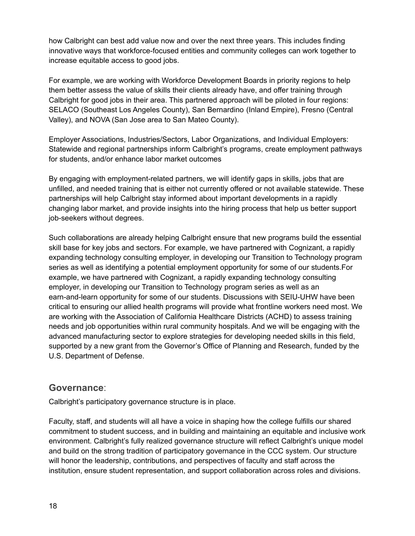how Calbright can best add value now and over the next three years. This includes finding innovative ways that workforce-focused entities and community colleges can work together to increase equitable access to good jobs.

For example, we are working with Workforce Development Boards in priority regions to help them better assess the value of skills their clients already have, and offer training through Calbright for good jobs in their area. This partnered approach will be piloted in four regions: SELACO (Southeast Los Angeles County), San Bernardino (Inland Empire), Fresno (Central Valley), and NOVA (San Jose area to San Mateo County).

Employer Associations, Industries/Sectors, Labor Organizations, and Individual Employers: Statewide and regional partnerships inform Calbright's programs, create employment pathways for students, and/or enhance labor market outcomes

By engaging with employment-related partners, we will identify gaps in skills, jobs that are unfilled, and needed training that is either not currently offered or not available statewide. These partnerships will help Calbright stay informed about important developments in a rapidly changing labor market, and provide insights into the hiring process that help us better support job-seekers without degrees.

Such collaborations are already helping Calbright ensure that new programs build the essential skill base for key jobs and sectors. For example, we have partnered with Cognizant, a rapidly expanding technology consulting employer, in developing our Transition to Technology program series as well as identifying a potential employment opportunity for some of our students.For example, we have partnered with Cognizant, a rapidly expanding technology consulting employer, in developing our Transition to Technology program series as well as an earn-and-learn opportunity for some of our students. Discussions with SEIU-UHW have been critical to ensuring our allied health programs will provide what frontline workers need most. We are working with the Association of California Healthcare Districts (ACHD) to assess training needs and job opportunities within rural community hospitals. And we will be engaging with the advanced manufacturing sector to explore strategies for developing needed skills in this field, supported by a new grant from the Governor's Office of Planning and Research, funded by the U.S. Department of Defense.

#### <span id="page-17-0"></span>**Governance**:

Calbright's participatory governance structure is in place.

Faculty, staff, and students will all have a voice in shaping how the college fulfills our shared commitment to student success, and in building and maintaining an equitable and inclusive work environment. Calbright's fully realized governance structure will reflect Calbright's unique model and build on the strong tradition of participatory governance in the CCC system. Our structure will honor the leadership, contributions, and perspectives of faculty and staff across the institution, ensure student representation, and support collaboration across roles and divisions.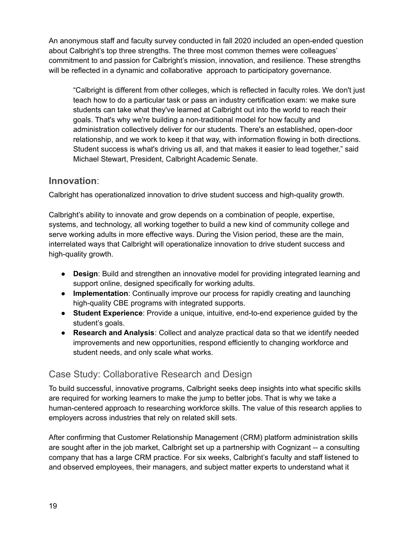An anonymous staff and faculty survey conducted in fall 2020 included an open-ended question about Calbright's top three strengths. The three most common themes were colleagues' commitment to and passion for Calbright's mission, innovation, and resilience. These strengths will be reflected in a dynamic and collaborative approach to participatory governance.

"Calbright is different from other colleges, which is reflected in faculty roles. We don't just teach how to do a particular task or pass an industry certification exam: we make sure students can take what they've learned at Calbright out into the world to reach their goals. That's why we're building a non-traditional model for how faculty and administration collectively deliver for our students. There's an established, open-door relationship, and we work to keep it that way, with information flowing in both directions. Student success is what's driving us all, and that makes it easier to lead together," said Michael Stewart, President, Calbright Academic Senate.

#### <span id="page-18-0"></span>**Innovation**:

Calbright has operationalized innovation to drive student success and high-quality growth.

Calbright's ability to innovate and grow depends on a combination of people, expertise, systems, and technology, all working together to build a new kind of community college and serve working adults in more effective ways. During the Vision period, these are the main, interrelated ways that Calbright will operationalize innovation to drive student success and high-quality growth.

- **Design**: Build and strengthen an innovative model for providing integrated learning and support online, designed specifically for working adults.
- **Implementation**: Continually improve our process for rapidly creating and launching high-quality CBE programs with integrated supports.
- **Student Experience**: Provide a unique, intuitive, end-to-end experience guided by the student's goals.
- **Research and Analysis**: Collect and analyze practical data so that we identify needed improvements and new opportunities, respond efficiently to changing workforce and student needs, and only scale what works.

### <span id="page-18-1"></span>Case Study: Collaborative Research and Design

To build successful, innovative programs, Calbright seeks deep insights into what specific skills are required for working learners to make the jump to better jobs. That is why we take a human-centered approach to researching workforce skills. The value of this research applies to employers across industries that rely on related skill sets.

After confirming that Customer Relationship Management (CRM) platform administration skills are sought after in the job market, Calbright set up a partnership with Cognizant -- a consulting company that has a large CRM practice. For six weeks, Calbright's faculty and staff listened to and observed employees, their managers, and subject matter experts to understand what it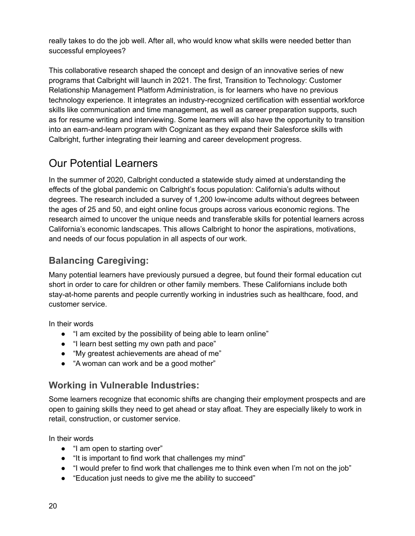really takes to do the job well. After all, who would know what skills were needed better than successful employees?

This collaborative research shaped the concept and design of an innovative series of new programs that Calbright will launch in 2021. The first, Transition to Technology: Customer Relationship Management Platform Administration, is for learners who have no previous technology experience. It integrates an industry-recognized certification with essential workforce skills like communication and time management, as well as career preparation supports, such as for resume writing and interviewing. Some learners will also have the opportunity to transition into an earn-and-learn program with Cognizant as they expand their Salesforce skills with Calbright, further integrating their learning and career development progress.

# <span id="page-19-0"></span>Our Potential Learners

In the summer of 2020, Calbright conducted a statewide study aimed at understanding the effects of the global pandemic on Calbright's focus population: California's adults without degrees. The research included a survey of 1,200 low-income adults without degrees between the ages of 25 and 50, and eight online focus groups across various economic regions. The research aimed to uncover the unique needs and transferable skills for potential learners across California's economic landscapes. This allows Calbright to honor the aspirations, motivations, and needs of our focus population in all aspects of our work.

# <span id="page-19-1"></span>**Balancing Caregiving:**

Many potential learners have previously pursued a degree, but found their formal education cut short in order to care for children or other family members. These Californians include both stay-at-home parents and people currently working in industries such as healthcare, food, and customer service.

In their words

- "I am excited by the possibility of being able to learn online"
- "I learn best setting my own path and pace"
- "My greatest achievements are ahead of me"
- "A woman can work and be a good mother"

# <span id="page-19-2"></span>**Working in Vulnerable Industries:**

Some learners recognize that economic shifts are changing their employment prospects and are open to gaining skills they need to get ahead or stay afloat. They are especially likely to work in retail, construction, or customer service.

In their words

- "I am open to starting over"
- "It is important to find work that challenges my mind"
- "I would prefer to find work that challenges me to think even when I'm not on the job"
- "Education just needs to give me the ability to succeed"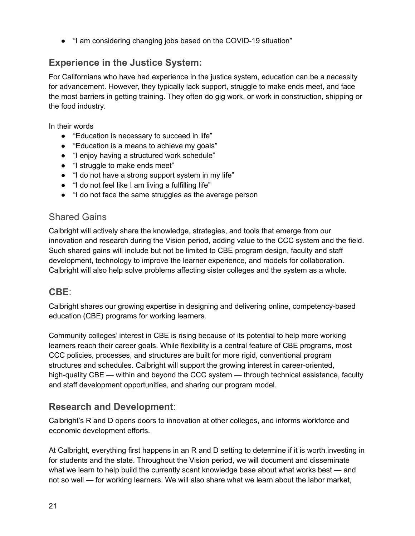● "I am considering changing jobs based on the COVID-19 situation"

# <span id="page-20-0"></span>**Experience in the Justice System:**

For Californians who have had experience in the justice system, education can be a necessity for advancement. However, they typically lack support, struggle to make ends meet, and face the most barriers in getting training. They often do gig work, or work in construction, shipping or the food industry.

In their words

- "Education is necessary to succeed in life"
- "Education is a means to achieve my goals"
- "I enjoy having a structured work schedule"
- "I struggle to make ends meet"
- "I do not have a strong support system in my life"
- "I do not feel like I am living a fulfilling life"
- "I do not face the same struggles as the average person

#### <span id="page-20-1"></span>Shared Gains

Calbright will actively share the knowledge, strategies, and tools that emerge from our innovation and research during the Vision period, adding value to the CCC system and the field. Such shared gains will include but not be limited to CBE program design, faculty and staff development, technology to improve the learner experience, and models for collaboration. Calbright will also help solve problems affecting sister colleges and the system as a whole.

#### <span id="page-20-2"></span>**CBE**:

Calbright shares our growing expertise in designing and delivering online, competency-based education (CBE) programs for working learners.

Community colleges' interest in CBE is rising because of its potential to help more working learners reach their career goals. While flexibility is a central feature of CBE programs, most CCC policies, processes, and structures are built for more rigid, conventional program structures and schedules. Calbright will support the growing interest in career-oriented, high-quality CBE — within and beyond the CCC system — through technical assistance, faculty and staff development opportunities, and sharing our program model.

### <span id="page-20-3"></span>**Research and Development**:

Calbright's R and D opens doors to innovation at other colleges, and informs workforce and economic development efforts.

At Calbright, everything first happens in an R and D setting to determine if it is worth investing in for students and the state. Throughout the Vision period, we will document and disseminate what we learn to help build the currently scant knowledge base about what works best — and not so well — for working learners. We will also share what we learn about the labor market,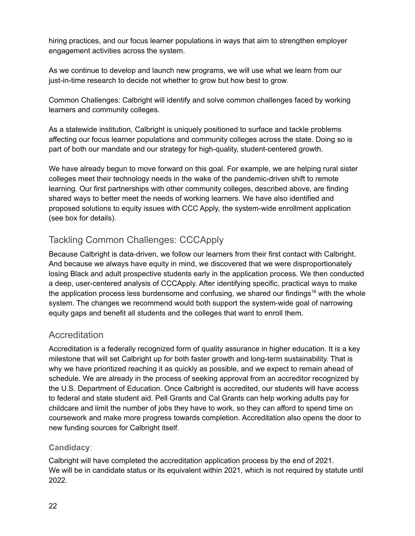hiring practices, and our focus learner populations in ways that aim to strengthen employer engagement activities across the system.

As we continue to develop and launch new programs, we will use what we learn from our just-in-time research to decide not whether to grow but how best to grow.

Common Challenges: Calbright will identify and solve common challenges faced by working learners and community colleges.

As a statewide institution, Calbright is uniquely positioned to surface and tackle problems affecting our focus learner populations and community colleges across the state. Doing so is part of both our mandate and our strategy for high-quality, student-centered growth.

We have already begun to move forward on this goal. For example, we are helping rural sister colleges meet their technology needs in the wake of the pandemic-driven shift to remote learning. Our first partnerships with other community colleges, described above, are finding shared ways to better meet the needs of working learners. We have also identified and proposed solutions to equity issues with CCC Apply, the system-wide enrollment application (see box for details).

# <span id="page-21-0"></span>Tackling Common Challenges: CCCApply

Because Calbright is data-driven, we follow our learners from their first contact with Calbright. And because we always have equity in mind, we discovered that we were disproportionately losing Black and adult prospective students early in the application process. We then conducted a deep, user-centered analysis of CCCApply. After identifying specific, practical ways to make the application process less burdensome and confusing, we shared our findings<sup>16</sup> with the whole system. The changes we recommend would both support the system-wide goal of narrowing equity gaps and benefit all students and the colleges that want to enroll them.

# <span id="page-21-1"></span>**Accreditation**

Accreditation is a federally recognized form of quality assurance in higher education. It is a key milestone that will set Calbright up for both faster growth and long-term sustainability. That is why we have prioritized reaching it as quickly as possible, and we expect to remain ahead of schedule. We are already in the process of seeking approval from an accreditor recognized by the U.S. Department of Education. Once Calbright is accredited, our students will have access to federal and state student aid. Pell Grants and Cal Grants can help working adults pay for childcare and limit the number of jobs they have to work, so they can afford to spend time on coursework and make more progress towards completion. Accreditation also opens the door to new funding sources for Calbright itself.

#### <span id="page-21-2"></span>**Candidacy**:

Calbright will have completed the accreditation application process by the end of 2021. We will be in candidate status or its equivalent within 2021, which is not required by statute until 2022.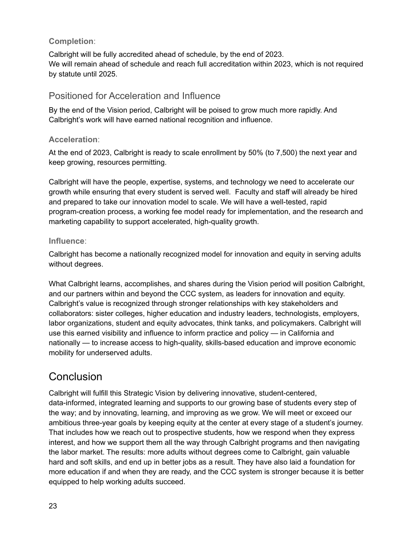#### <span id="page-22-0"></span>**Completion**:

Calbright will be fully accredited ahead of schedule, by the end of 2023. We will remain ahead of schedule and reach full accreditation within 2023, which is not required by statute until 2025.

#### <span id="page-22-1"></span>Positioned for Acceleration and Influence

By the end of the Vision period, Calbright will be poised to grow much more rapidly. And Calbright's work will have earned national recognition and influence.

#### <span id="page-22-2"></span>**Acceleration**:

At the end of 2023, Calbright is ready to scale enrollment by 50% (to 7,500) the next year and keep growing, resources permitting.

Calbright will have the people, expertise, systems, and technology we need to accelerate our growth while ensuring that every student is served well. Faculty and staff will already be hired and prepared to take our innovation model to scale. We will have a well-tested, rapid program-creation process, a working fee model ready for implementation, and the research and marketing capability to support accelerated, high-quality growth.

#### <span id="page-22-3"></span>**Influence**:

Calbright has become a nationally recognized model for innovation and equity in serving adults without degrees.

What Calbright learns, accomplishes, and shares during the Vision period will position Calbright, and our partners within and beyond the CCC system, as leaders for innovation and equity. Calbright's value is recognized through stronger relationships with key stakeholders and collaborators: sister colleges, higher education and industry leaders, technologists, employers, labor organizations, student and equity advocates, think tanks, and policymakers. Calbright will use this earned visibility and influence to inform practice and policy — in California and nationally — to increase access to high-quality, skills-based education and improve economic mobility for underserved adults.

# <span id="page-22-4"></span>**Conclusion**

Calbright will fulfill this Strategic Vision by delivering innovative, student-centered, data-informed, integrated learning and supports to our growing base of students every step of the way; and by innovating, learning, and improving as we grow. We will meet or exceed our ambitious three-year goals by keeping equity at the center at every stage of a student's journey. That includes how we reach out to prospective students, how we respond when they express interest, and how we support them all the way through Calbright programs and then navigating the labor market. The results: more adults without degrees come to Calbright, gain valuable hard and soft skills, and end up in better jobs as a result. They have also laid a foundation for more education if and when they are ready, and the CCC system is stronger because it is better equipped to help working adults succeed.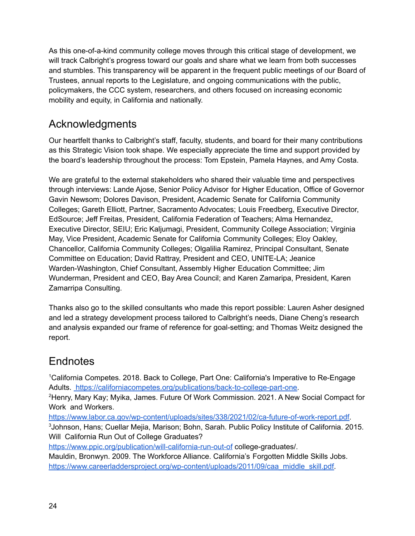As this one-of-a-kind community college moves through this critical stage of development, we will track Calbright's progress toward our goals and share what we learn from both successes and stumbles. This transparency will be apparent in the frequent public meetings of our Board of Trustees, annual reports to the Legislature, and ongoing communications with the public, policymakers, the CCC system, researchers, and others focused on increasing economic mobility and equity, in California and nationally.

# <span id="page-23-0"></span>Acknowledgments

Our heartfelt thanks to Calbright's staff, faculty, students, and board for their many contributions as this Strategic Vision took shape. We especially appreciate the time and support provided by the board's leadership throughout the process: Tom Epstein, Pamela Haynes, and Amy Costa.

We are grateful to the external stakeholders who shared their valuable time and perspectives through interviews: Lande Ajose, Senior Policy Advisor for Higher Education, Office of Governor Gavin Newsom; Dolores Davison, President, Academic Senate for California Community Colleges; Gareth Elliott, Partner, Sacramento Advocates; Louis Freedberg, Executive Director, EdSource; Jeff Freitas, President, California Federation of Teachers; Alma Hernandez, Executive Director, SEIU; Eric Kaljumagi, President, Community College Association; Virginia May, Vice President, Academic Senate for California Community Colleges; Eloy Oakley, Chancellor, California Community Colleges; Olgalilia Ramirez, Principal Consultant, Senate Committee on Education; David Rattray, President and CEO, UNITE-LA; Jeanice Warden-Washington, Chief Consultant, Assembly Higher Education Committee; Jim Wunderman, President and CEO, Bay Area Council; and Karen Zamaripa, President, Karen Zamarripa Consulting.

Thanks also go to the skilled consultants who made this report possible: Lauren Asher designed and led a strategy development process tailored to Calbright's needs, Diane Cheng's research and analysis expanded our frame of reference for goal-setting; and Thomas Weitz designed the report.

# <span id="page-23-1"></span>**Endnotes**

<sup>1</sup>California Competes. 2018. Back to College, Part One: California's Imperative to Re-Engage Adults. [https://californiacompetes.org/publications/back-to-college-part-one.](https://californiacompetes.org/publications/back-to-college-part-one)

<sup>2</sup>Henry, Mary Kay; Myika, James. Future Of Work Commission. 2021. A New Social Compact for Work and Workers.

[https://www.labor.ca.gov/wp-content/uploads/sites/338/2021/02/ca-future-of-work-report.pdf.](https://www.labor.ca.gov/wp-content/uploads/sites/338/2021/02/ca-future-of-work-report.pdf) <sup>3</sup>Johnson, Hans; Cuellar Mejia, Marison; Bohn, Sarah. Public Policy Institute of California. 2015. Will California Run Out of College Graduates[?](https://www.ppic.org/publication/will-california-run-out-of)

<https://www.ppic.org/publication/will-california-run-out-of> college-graduates/.

Mauldin, Bronwyn. 2009. The Workforce Alliance. California's Forgotten Middle Skills Jobs[.](https://www.careerladdersproject.org/wp-content/uploads/2011/09/caa_middle_skill.pdf) [https://www.careerladdersproject.org/wp-content/uploads/2011/09/caa\\_middle\\_skill.pdf.](https://www.careerladdersproject.org/wp-content/uploads/2011/09/caa_middle_skill.pdf)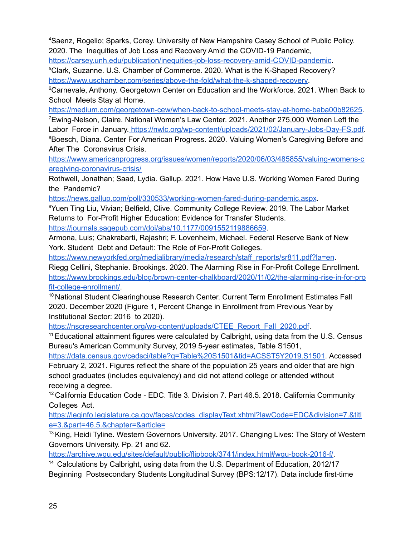<sup>4</sup>Saenz, Rogelio; Sparks, Corey. University of New Hampshire Casey School of Public Policy. 2020. The Inequities of Job Loss and Recovery Amid the COVID-19 Pandemic,

<https://carsey.unh.edu/publication/inequities-job-loss-recovery-amid-COVID-pandemic>.

<sup>5</sup>Clark, Suzanne. U.S. Chamber of Commerce. 2020. What is the K-Shaped Recovery? <https://www.uschamber.com/series/above-the-fold/what-the-k-shaped-recovery>.

<sup>6</sup>Carnevale, Anthony. Georgetown Center on Education and the Workforce. 2021. When Back to School Meets Stay at Home[.](https://medium.com/georgetown-cew/when-back-to-school-meets-stay-at-home)

[https://medium.com/georgetown-cew/when-back-to-school-meets-stay-at-home-baba00b82625.](https://medium.com/georgetown-cew/when-back-to-school-meets-stay-at-home-baba00b82625) <sup>7</sup>Ewing-Nelson, Claire. National Women's Law Center. 2021. Another 275,000 Women Left the Labor Force in January. [https://nwlc.org/wp-content/uploads/2021/02/January-Jobs-Day-FS.pdf.](https://nwlc.org/wp-content/uploads/2021/02/January-Jobs-Day-FS.pdf) <sup>8</sup>Boesch, Diana. Center For American Progress. 2020. Valuing Women's Caregiving Before and After The Coronavirus Crisis.

[https://www.americanprogress.org/issues/women/reports/2020/06/03/485855/valuing-womens-c](https://www.americanprogress.org/issues/women/reports/2020/06/03/485855/valuing-womens-caregiving-coronavirus-crisis/) [aregiving-coronavirus-crisis/](https://www.americanprogress.org/issues/women/reports/2020/06/03/485855/valuing-womens-caregiving-coronavirus-crisis/)

Rothwell, Jonathan; Saad, Lydia. Gallup. 2021. How Have U.S. Working Women Fared During the Pandemic[?](https://news.gallup.com/poll/330533/working-women-fared-during-pandemic.aspx)

<https://news.gallup.com/poll/330533/working-women-fared-during-pandemic.aspx>.

<sup>9</sup>Yuen Ting Liu, Vivian; Belfield, Clive. Community College Review. 2019. The Labor Market Returns to For-Profit Higher Education: Evidence for Transfer Students.

<https://journals.sagepub.com/doi/abs/10.1177/0091552119886659>.

Armona, Luis; Chakrabarti, Rajashri; F. Lovenheim, Michael. Federal Reserve Bank of New York. Student Debt and Default: The Role of For-Profit Colleges.

[https://www.newyorkfed.org/medialibrary/media/research/staff\\_reports/sr811.pdf?la=en](https://www.newyorkfed.org/medialibrary/media/research/staff_reports/sr811.pdf?la=en).

Riegg Cellini, Stephanie. Brookings. 2020. The Alarming Rise in For-Profit College Enrollment. [https://www.brookings.edu/blog/brown-center-chalkboard/2020/11/02/the-alarming-rise-in-for-pro](https://www.brookings.edu/blog/brown-center-chalkboard/2020/11/02/the-alarming-rise-in-for-profit-college-enrollment/) [fit-college-enrollment/](https://www.brookings.edu/blog/brown-center-chalkboard/2020/11/02/the-alarming-rise-in-for-profit-college-enrollment/).

<sup>10</sup> National Student Clearinghouse Research Center. Current Term Enrollment Estimates Fall 2020. December 2020 (Figure 1, Percent Change in Enrollment from Previous Year by Institutional Sector: 2016 to 2020)[.](https://nscresearchcenter.org/wp-content/uploads/CTEE_Report_Fall_2020.pdf)

[https://nscresearchcenter.org/wp-content/uploads/CTEE\\_Report\\_Fall\\_2020.pdf](https://nscresearchcenter.org/wp-content/uploads/CTEE_Report_Fall_2020.pdf).

<sup>11</sup> Educational attainment figures were calculated by Calbright, using data from the U.S. Census Bureau's American Community Survey, 2019 5-year estimates, Table S1501,

[https://data.census.gov/cedsci/table?q=Table%20S1501&tid=ACSST5Y2019.S1501.](https://data.census.gov/cedsci/table?q=Table%20S1501&tid=ACSST5Y2019.S1501) Accessed

February 2, 2021. Figures reflect the share of the population 25 years and older that are high school graduates (includes equivalency) and did not attend college or attended without receiving a degree.

<sup>12</sup> California Education Code - EDC. Title 3. Division 7. Part 46.5. 2018. California Community Colleges Act.

[https://leginfo.legislature.ca.gov/faces/codes\\_displayText.xhtml?lawCode=EDC&division=7.&titl](https://leginfo.legislature.ca.gov/faces/codes_displayText.xhtml?lawCode=EDC&division=7.&title=3.&part=46.5.&chapter=&article=) [e=3.&part=46.5.&chapter=&article=](https://leginfo.legislature.ca.gov/faces/codes_displayText.xhtml?lawCode=EDC&division=7.&title=3.&part=46.5.&chapter=&article=)

<sup>13</sup> King, Heidi Tyline. Western Governors University. 2017. Changing Lives: The Story of Western Governors University. Pp. 21 and 62.

[https://archive.wgu.edu/sites/default/public/flipbook/3741/index.html#wgu-book-2016-f/.](https://archive.wgu.edu/sites/default/public/flipbook/3741/index.html#wgu-book-2016-f/)

<sup>14</sup> Calculations by Calbright, using data from the U.S. Department of Education, 2012/17 Beginning Postsecondary Students Longitudinal Survey (BPS:12/17). Data include first-time